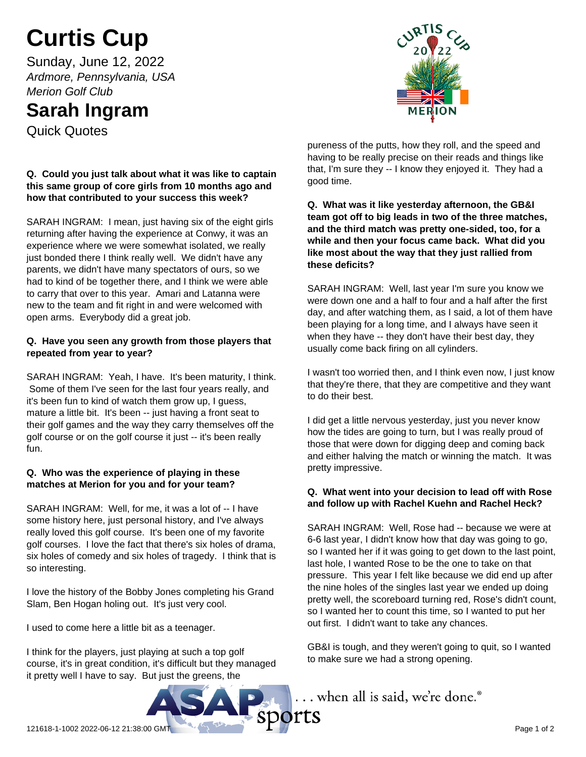# **Curtis Cup**

Sunday, June 12, 2022 *Ardmore, Pennsylvania, USA Merion Golf Club*

# **Sarah Ingram**

Quick Quotes

# **Q. Could you just talk about what it was like to captain this same group of core girls from 10 months ago and how that contributed to your success this week?**

SARAH INGRAM: I mean, just having six of the eight girls returning after having the experience at Conwy, it was an experience where we were somewhat isolated, we really just bonded there I think really well. We didn't have any parents, we didn't have many spectators of ours, so we had to kind of be together there, and I think we were able to carry that over to this year. Amari and Latanna were new to the team and fit right in and were welcomed with open arms. Everybody did a great job.

#### **Q. Have you seen any growth from those players that repeated from year to year?**

SARAH INGRAM: Yeah, I have. It's been maturity, I think. Some of them I've seen for the last four years really, and it's been fun to kind of watch them grow up, I guess, mature a little bit. It's been -- just having a front seat to their golf games and the way they carry themselves off the golf course or on the golf course it just -- it's been really fun.

# **Q. Who was the experience of playing in these matches at Merion for you and for your team?**

SARAH INGRAM: Well, for me, it was a lot of -- I have some history here, just personal history, and I've always really loved this golf course. It's been one of my favorite golf courses. I love the fact that there's six holes of drama, six holes of comedy and six holes of tragedy. I think that is so interesting.

I love the history of the Bobby Jones completing his Grand Slam, Ben Hogan holing out. It's just very cool.

I used to come here a little bit as a teenager.

I think for the players, just playing at such a top golf course, it's in great condition, it's difficult but they managed it pretty well I have to say. But just the greens, the



pureness of the putts, how they roll, and the speed and having to be really precise on their reads and things like that, I'm sure they -- I know they enjoyed it. They had a good time.

**Q. What was it like yesterday afternoon, the GB&I team got off to big leads in two of the three matches, and the third match was pretty one-sided, too, for a while and then your focus came back. What did you like most about the way that they just rallied from these deficits?**

SARAH INGRAM: Well, last year I'm sure you know we were down one and a half to four and a half after the first day, and after watching them, as I said, a lot of them have been playing for a long time, and I always have seen it when they have -- they don't have their best day, they usually come back firing on all cylinders.

I wasn't too worried then, and I think even now, I just know that they're there, that they are competitive and they want to do their best.

I did get a little nervous yesterday, just you never know how the tides are going to turn, but I was really proud of those that were down for digging deep and coming back and either halving the match or winning the match. It was pretty impressive.

# **Q. What went into your decision to lead off with Rose and follow up with Rachel Kuehn and Rachel Heck?**

SARAH INGRAM: Well, Rose had -- because we were at 6-6 last year, I didn't know how that day was going to go, so I wanted her if it was going to get down to the last point, last hole, I wanted Rose to be the one to take on that pressure. This year I felt like because we did end up after the nine holes of the singles last year we ended up doing pretty well, the scoreboard turning red, Rose's didn't count, so I wanted her to count this time, so I wanted to put her out first. I didn't want to take any chances.

GB&I is tough, and they weren't going to quit, so I wanted to make sure we had a strong opening.

.. when all is said, we're done.®